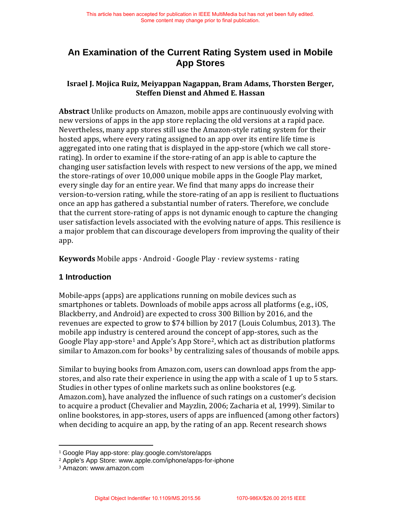# **An Examination of the Current Rating System used in Mobile App Stores**

#### **Israel J. Mojica Ruiz, Meiyappan Nagappan, Bram Adams, Thorsten Berger, Steffen Dienst and Ahmed E. Hassan**

**Abstract** Unlike products on Amazon, mobile apps are continuously evolving with new versions of apps in the app store replacing the old versions at a rapid pace. Nevertheless, many app stores still use the Amazon-style rating system for their hosted apps, where every rating assigned to an app over its entire life time is aggregated into one rating that is displayed in the app-store (which we call storerating). In order to examine if the store-rating of an app is able to capture the changing user satisfaction levels with respect to new versions of the app, we mined the store-ratings of over 10,000 unique mobile apps in the Google Play market, every single day for an entire year. We find that many apps do increase their version-to-version rating, while the store-rating of an app is resilient to fluctuations once an app has gathered a substantial number of raters. Therefore, we conclude that the current store-rating of apps is not dynamic enough to capture the changing user satisfaction levels associated with the evolving nature of apps. This resilience is a major problem that can discourage developers from improving the quality of their app.

**Keywords** Mobile apps · Android · Google Play · review systems · rating

## **1 Introduction**

Mobile-apps (apps) are applications running on mobile devices such as smartphones or tablets. Downloads of mobile apps across all platforms (e.g., iOS, Blackberry, and Android) are expected to cross 300 Billion by 2016, and the revenues are expected to grow to \$74 billion by 2017 (Louis Columbus, 2013). The mobile app industry is centered around the concept of app-stores, such as the Google Play app-store<sup>[1](#page-0-0)</sup> and Appl[e'](#page-0-2)s App Store<sup>[2](#page-0-1)</sup>, which act as distribution platforms similar to Amazon.com for books<sup>3</sup> by centralizing sales of thousands of mobile apps.

Similar to buying books from Amazon.com, users can download apps from the appstores, and also rate their experience in using the app with a scale of 1 up to 5 stars. Studies in other types of online markets such as online bookstores (e.g. Amazon.com), have analyzed the influence of such ratings on a customer's decision to acquire a product (Chevalier and Mayzlin, 2006; Zacharia et al, 1999). Similar to online bookstores, in app-stores, users of apps are influenced (among other factors) when deciding to acquire an app, by the rating of an app. Recent research shows

i<br>I <sup>1</sup> Google Play app-store: play.google.com/store/apps

<span id="page-0-0"></span><sup>2</sup> Apple's App Store: www.apple.com/iphone/apps-for-iphone

<span id="page-0-2"></span><span id="page-0-1"></span><sup>3</sup> Amazon: www.amazon.com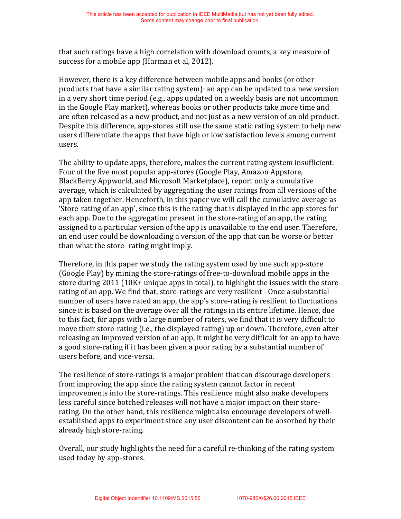that such ratings have a high correlation with download counts, a key measure of success for a mobile app (Harman et al, 2012).

However, there is a key difference between mobile apps and books (or other products that have a similar rating system): an app can be updated to a new version in a very short time period (e.g., apps updated on a weekly basis are not uncommon in the Google Play market), whereas books or other products take more time and are often released as a new product, and not just as a new version of an old product. Despite this difference, app-stores still use the same static rating system to help new users differentiate the apps that have high or low satisfaction levels among current users.

The ability to update apps, therefore, makes the current rating system insufficient. Four of the five most popular app-stores (Google Play, Amazon Appstore, BlackBerry Appworld, and Microsoft Marketplace), report only a cumulative average, which is calculated by aggregating the user ratings from all versions of the app taken together. Henceforth, in this paper we will call the cumulative average as 'Store-rating of an app', since this is the rating that is displayed in the app stores for each app. Due to the aggregation present in the store-rating of an app, the rating assigned to a particular version of the app is unavailable to the end user. Therefore, an end user could be downloading a version of the app that can be worse or better than what the store- rating might imply.

Therefore, in this paper we study the rating system used by one such app-store (Google Play) by mining the store-ratings of free-to-download mobile apps in the store during 2011 (10K+ unique apps in total), to highlight the issues with the storerating of an app. We find that, store-ratings are very resilient - Once a substantial number of users have rated an app, the app's store-rating is resilient to fluctuations since it is based on the average over all the ratings in its entire lifetime. Hence, due to this fact, for apps with a large number of raters, we find that it is very difficult to move their store-rating (i.e., the displayed rating) up or down. Therefore, even after releasing an improved version of an app, it might be very difficult for an app to have a good store-rating if it has been given a poor rating by a substantial number of users before, and vice-versa.

The resilience of store-ratings is a major problem that can discourage developers from improving the app since the rating system cannot factor in recent improvements into the store-ratings. This resilience might also make developers less careful since botched releases will not have a major impact on their storerating. On the other hand, this resilience might also encourage developers of wellestablished apps to experiment since any user discontent can be absorbed by their already high store-rating.

Overall, our study highlights the need for a careful re-thinking of the rating system used today by app-stores.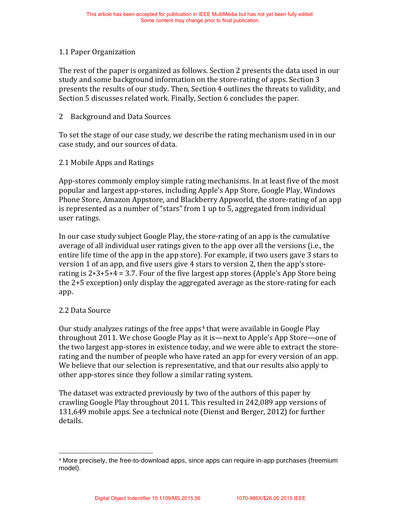#### 1.1 Paper Organization

The rest of the paper is organized as follows. Section 2 presents the data used in our study and some background information on the store-rating of apps. Section 3 presents the results of our study. Then, Section 4 outlines the threats to validity, and Section 5 discusses related work. Finally, Section 6 concludes the paper.

#### 2 Background and Data Sources

To set the stage of our case study, we describe the rating mechanism used in in our case study, and our sources of data.

## 2.1 Mobile Apps and Ratings

App-stores commonly employ simple rating mechanisms. In at least five of the most popular and largest app-stores, including Apple's App Store, Google Play, Windows Phone Store, Amazon Appstore, and Blackberry Appworld, the store-rating of an app is represented as a number of "stars" from 1 up to 5, aggregated from individual user ratings.

In our case study subject Google Play, the store-rating of an app is the cumulative average of all individual user ratings given to the app over all the versions (i.e., the entire life time of the app in the app store). For example, if two users gave 3 stars to version 1 of an app, and five users give 4 stars to version 2, then the app's storerating is 2∗3+5∗4 = 3.7. Four of the five largest app stores (Apple's App Store being the 2+5 exception) only display the aggregated average as the store-rating for each app.

## 2.2 Data Source

Our study analyzes ratings of the free apps<sup>[4](#page-2-0)</sup> that were available in Google Play throughout 2011. We chose Google Play as it is—next to Apple's App Store—one of the two largest app-stores in existence today, and we were able to extract the storerating and the number of people who have rated an app for every version of an app. We believe that our selection is representative, and that our results also apply to other app-stores since they follow a similar rating system.

The dataset was extracted previously by two of the authors of this paper by crawling Google Play throughout 2011. This resulted in 242,089 app versions of 131,649 mobile apps. See a technical note (Dienst and Berger, 2012) for further details.

<span id="page-2-0"></span>j <sup>4</sup> More precisely, the free-to-download apps, since apps can require in-app purchases (freemium model).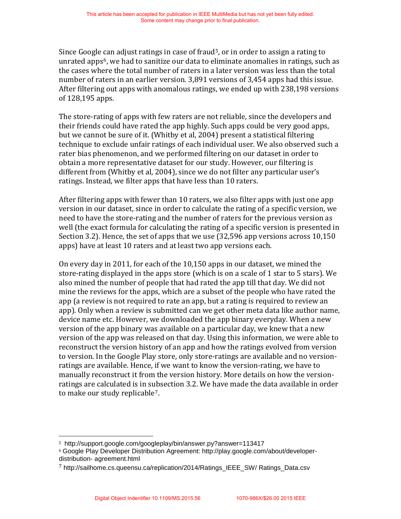Since Google [ca](#page-3-1)n adjust ratings in case of fraud<sup>5</sup>, or in order to assign a rating to unrated apps<sup>6</sup>, we had to sanitize our data to eliminate anomalies in ratings, such as the cases where the total number of raters in a later version was less than the total number of raters in an earlier version. 3,891 versions of 3,454 apps had this issue. After filtering out apps with anomalous ratings, we ended up with 238,198 versions of 128,195 apps.

The store-rating of apps with few raters are not reliable, since the developers and their friends could have rated the app highly. Such apps could be very good apps, but we cannot be sure of it. (Whitby et al, 2004) present a statistical filtering technique to exclude unfair ratings of each individual user. We also observed such a rater bias phenomenon, and we performed filtering on our dataset in order to obtain a more representative dataset for our study. However, our filtering is different from (Whitby et al, 2004), since we do not filter any particular user's ratings. Instead, we filter apps that have less than 10 raters.

After filtering apps with fewer than 10 raters, we also filter apps with just one app version in our dataset, since in order to calculate the rating of a specific version, we need to have the store-rating and the number of raters for the previous version as well (the exact formula for calculating the rating of a specific version is presented in Section 3.2). Hence, the set of apps that we use (32,596 app versions across 10,150 apps) have at least 10 raters and at least two app versions each.

On every day in 2011, for each of the 10,150 apps in our dataset, we mined the store-rating displayed in the apps store (which is on a scale of 1 star to 5 stars). We also mined the number of people that had rated the app till that day. We did not mine the reviews for the apps, which are a subset of the people who have rated the app (a review is not required to rate an app, but a rating is required to review an app). Only when a review is submitted can we get other meta data like author name, device name etc. However, we downloaded the app binary everyday. When a new version of the app binary was available on a particular day, we knew that a new version of the app was released on that day. Using this information, we were able to reconstruct the version history of an app and how the ratings evolved from version to version. In the Google Play store, only store-ratings are available and no versionratings are available. Hence, if we want to know the version-rating, we have to manually reconstruct it from the version history. More details on how the versionratings are calculated is in subsection 3.2. We have made the data available in order to make our study replicable[7](#page-3-2).

<span id="page-3-0"></span>l <sup>5</sup> http://support.google.com/googleplay/bin/answer.py?answer=113417

<span id="page-3-1"></span><sup>6</sup> Google Play Developer Distribution Agreement: http://play.google.com/about/developerdistribution- agreement.html

<span id="page-3-2"></span><sup>7</sup> http://sailhome.cs.queensu.ca/replication/2014/Ratings\_IEEE\_SW/ Ratings\_Data.csv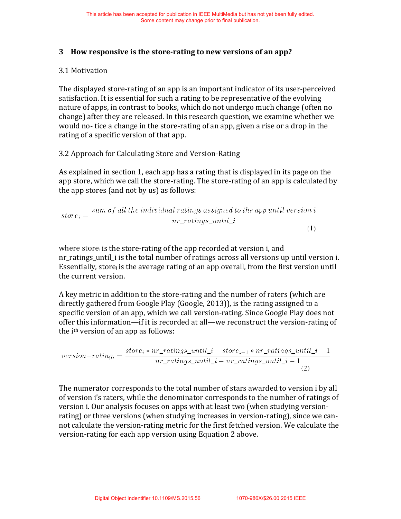#### **3 How responsive is the store-rating to new versions of an app?**

#### 3.1 Motivation

The displayed store-rating of an app is an important indicator of its user-perceived satisfaction. It is essential for such a rating to be representative of the evolving nature of apps, in contrast to books, which do not undergo much change (often no change) after they are released. In this research question, we examine whether we would no- tice a change in the store-rating of an app, given a rise or a drop in the rating of a specific version of that app.

3.2 Approach for Calculating Store and Version-Rating

As explained in section 1, each app has a rating that is displayed in its page on the app store, which we call the store-rating. The store-rating of an app is calculated by the app stores (and not by us) as follows:

$$
store_i = \frac{sum\ of\ all\ the\ individual\ ratings\ assigned\ to\ the\ app\ until\ version\ i}{nr\_ratings\_until\_i} \tag{1}
$$

where store<sub>i</sub> is the store-rating of the app recorded at version i, and nr ratings until i is the total number of ratings across all versions up until version i. Essentially, store; is the average rating of an app overall, from the first version until the current version.

A key metric in addition to the store-rating and the number of raters (which are directly gathered from Google Play (Google, 2013)), is the rating assigned to a specific version of an app, which we call version-rating. Since Google Play does not offer this information—if it is recorded at all—we reconstruct the version-rating of the i<sup>th</sup> version of an app as follows:

$$
version-rating_i = \frac{store_i * nr\_ratings\_until\_i - store_{i-1} * nr\_ratings\_until\_i - 1}{nr\_ratings\_until\_i - nr\_ratings\_until\_i - 1}
$$
\n(2)

The numerator corresponds to the total number of stars awarded to version i by all of version i's raters, while the denominator corresponds to the number of ratings of version i. Our analysis focuses on apps with at least two (when studying versionrating) or three versions (when studying increases in version-rating), since we cannot calculate the version-rating metric for the first fetched version. We calculate the version-rating for each app version using Equation 2 above.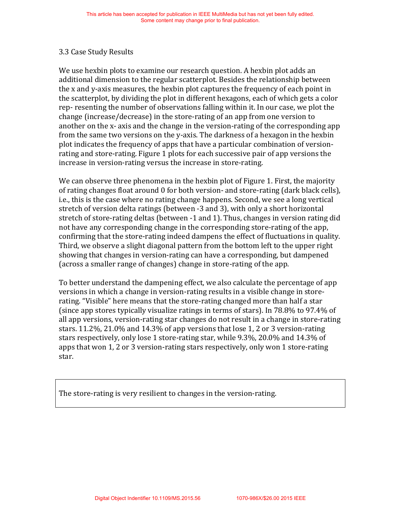#### 3.3 Case Study Results

We use hexbin plots to examine our research question. A hexbin plot adds an additional dimension to the regular scatterplot. Besides the relationship between the x and y-axis measures, the hexbin plot captures the frequency of each point in the scatterplot, by dividing the plot in different hexagons, each of which gets a color rep- resenting the number of observations falling within it. In our case, we plot the change (increase/decrease) in the store-rating of an app from one version to another on the x- axis and the change in the version-rating of the corresponding app from the same two versions on the y-axis. The darkness of a hexagon in the hexbin plot indicates the frequency of apps that have a particular combination of versionrating and store-rating. Figure 1 plots for each successive pair of app versions the increase in version-rating versus the increase in store-rating.

We can observe three phenomena in the hexbin plot of Figure 1. First, the majority of rating changes float around 0 for both version- and store-rating (dark black cells), i.e., this is the case where no rating change happens. Second, we see a long vertical stretch of version delta ratings (between -3 and 3), with only a short horizontal stretch of store-rating deltas (between -1 and 1). Thus, changes in version rating did not have any corresponding change in the corresponding store-rating of the app, confirming that the store-rating indeed dampens the effect of fluctuations in quality. Third, we observe a slight diagonal pattern from the bottom left to the upper right showing that changes in version-rating can have a corresponding, but dampened (across a smaller range of changes) change in store-rating of the app.

To better understand the dampening effect, we also calculate the percentage of app versions in which a change in version-rating results in a visible change in storerating. "Visible" here means that the store-rating changed more than half a star (since app stores typically visualize ratings in terms of stars). In 78.8% to 97.4% of all app versions, version-rating star changes do not result in a change in store-rating stars. 11.2%, 21.0% and 14.3% of app versions that lose 1, 2 or 3 version-rating stars respectively, only lose 1 store-rating star, while 9.3%, 20.0% and 14.3% of apps that won 1, 2 or 3 version-rating stars respectively, only won 1 store-rating star.

The store-rating is very resilient to changes in the version-rating.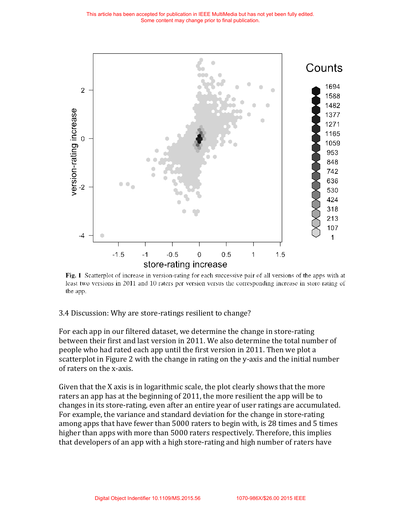

Fig. 1 Scatterplot of increase in version-rating for each successive pair of all versions of the apps with at least two versions in 2011 and 10 raters per version versus the corresponding increase in store-rating of the app.

#### 3.4 Discussion: Why are store-ratings resilient to change?

For each app in our filtered dataset, we determine the change in store-rating between their first and last version in 2011. We also determine the total number of people who had rated each app until the first version in 2011. Then we plot a scatterplot in Figure 2 with the change in rating on the y-axis and the initial number of raters on the x-axis.

Given that the X axis is in logarithmic scale, the plot clearly shows that the more raters an app has at the beginning of 2011, the more resilient the app will be to changes in its store-rating, even after an entire year of user ratings are accumulated. For example, the variance and standard deviation for the change in store-rating among apps that have fewer than 5000 raters to begin with, is 28 times and 5 times higher than apps with more than 5000 raters respectively. Therefore, this implies that developers of an app with a high store-rating and high number of raters have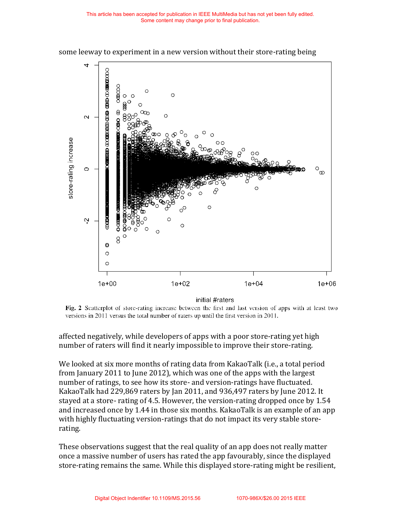

some leeway to experiment in a new version without their store-rating being

initial #raters

Fig. 2 Scatterplot of store-rating increase between the first and last version of apps with at least two versions in 2011 versus the total number of raters up until the first version in 2011.

affected negatively, while developers of apps with a poor store-rating yet high number of raters will find it nearly impossible to improve their store-rating.

We looked at six more months of rating data from KakaoTalk (i.e., a total period from January 2011 to June 2012), which was one of the apps with the largest number of ratings, to see how its store- and version-ratings have fluctuated. KakaoTalk had 229,869 raters by Jan 2011, and 936,497 raters by June 2012. It stayed at a store- rating of 4.5. However, the version-rating dropped once by 1.54 and increased once by 1.44 in those six months. KakaoTalk is an example of an app with highly fluctuating version-ratings that do not impact its very stable storerating.

These observations suggest that the real quality of an app does not really matter once a massive number of users has rated the app favourably, since the displayed store-rating remains the same. While this displayed store-rating might be resilient,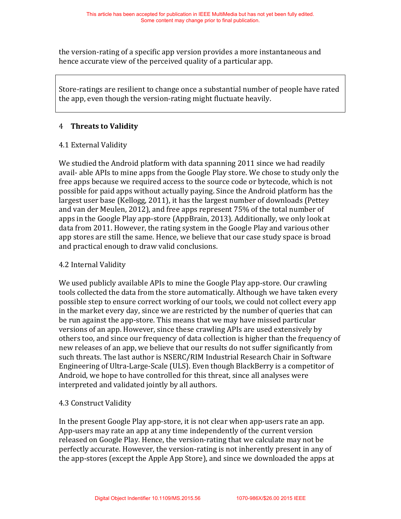the version-rating of a specific app version provides a more instantaneous and hence accurate view of the perceived quality of a particular app.

Store-ratings are resilient to change once a substantial number of people have rated the app, even though the version-rating might fluctuate heavily.

#### 4 **Threats to Validity**

#### 4.1 External Validity

We studied the Android platform with data spanning 2011 since we had readily avail- able APIs to mine apps from the Google Play store. We chose to study only the free apps because we required access to the source code or bytecode, which is not possible for paid apps without actually paying. Since the Android platform has the largest user base (Kellogg, 2011), it has the largest number of downloads (Pettey and van der Meulen, 2012), and free apps represent 75% of the total number of apps in the Google Play app-store (AppBrain, 2013). Additionally, we only look at data from 2011. However, the rating system in the Google Play and various other app stores are still the same. Hence, we believe that our case study space is broad and practical enough to draw valid conclusions.

#### 4.2 Internal Validity

We used publicly available APIs to mine the Google Play app-store. Our crawling tools collected the data from the store automatically. Although we have taken every possible step to ensure correct working of our tools, we could not collect every app in the market every day, since we are restricted by the number of queries that can be run against the app-store. This means that we may have missed particular versions of an app. However, since these crawling APIs are used extensively by others too, and since our frequency of data collection is higher than the frequency of new releases of an app, we believe that our results do not suffer significantly from such threats. The last author is NSERC/RIM Industrial Research Chair in Software Engineering of Ultra-Large-Scale (ULS). Even though BlackBerry is a competitor of Android, we hope to have controlled for this threat, since all analyses were interpreted and validated jointly by all authors.

#### 4.3 Construct Validity

In the present Google Play app-store, it is not clear when app-users rate an app. App-users may rate an app at any time independently of the current version released on Google Play. Hence, the version-rating that we calculate may not be perfectly accurate. However, the version-rating is not inherently present in any of the app-stores (except the Apple App Store), and since we downloaded the apps at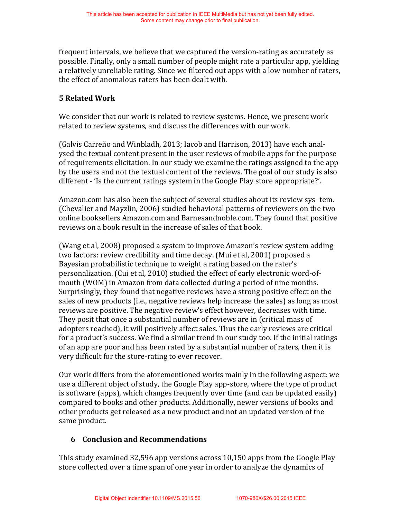frequent intervals, we believe that we captured the version-rating as accurately as possible. Finally, only a small number of people might rate a particular app, yielding a relatively unreliable rating. Since we filtered out apps with a low number of raters, the effect of anomalous raters has been dealt with.

#### **5 Related Work**

We consider that our work is related to review systems. Hence, we present work related to review systems, and discuss the differences with our work.

(Galvis Carreño and Winbladh, 2013; Iacob and Harrison, 2013) have each analysed the textual content present in the user reviews of mobile apps for the purpose of requirements elicitation. In our study we examine the ratings assigned to the app by the users and not the textual content of the reviews. The goal of our study is also different - 'Is the current ratings system in the Google Play store appropriate?'.

Amazon.com has also been the subject of several studies about its review sys- tem. (Chevalier and Mayzlin, 2006) studied behavioral patterns of reviewers on the two online booksellers Amazon.com and Barnesandnoble.com. They found that positive reviews on a book result in the increase of sales of that book.

(Wang et al, 2008) proposed a system to improve Amazon's review system adding two factors: review credibility and time decay. (Mui et al, 2001) proposed a Bayesian probabilistic technique to weight a rating based on the rater's personalization. (Cui et al, 2010) studied the effect of early electronic word-ofmouth (WOM) in Amazon from data collected during a period of nine months. Surprisingly, they found that negative reviews have a strong positive effect on the sales of new products (i.e., negative reviews help increase the sales) as long as most reviews are positive. The negative review's effect however, decreases with time. They posit that once a substantial number of reviews are in (critical mass of adopters reached), it will positively affect sales. Thus the early reviews are critical for a product's success. We find a similar trend in our study too. If the initial ratings of an app are poor and has been rated by a substantial number of raters, then it is very difficult for the store-rating to ever recover.

Our work differs from the aforementioned works mainly in the following aspect: we use a different object of study, the Google Play app-store, where the type of product is software (apps), which changes frequently over time (and can be updated easily) compared to books and other products. Additionally, newer versions of books and other products get released as a new product and not an updated version of the same product.

## **6 Conclusion and Recommendations**

This study examined 32,596 app versions across 10,150 apps from the Google Play store collected over a time span of one year in order to analyze the dynamics of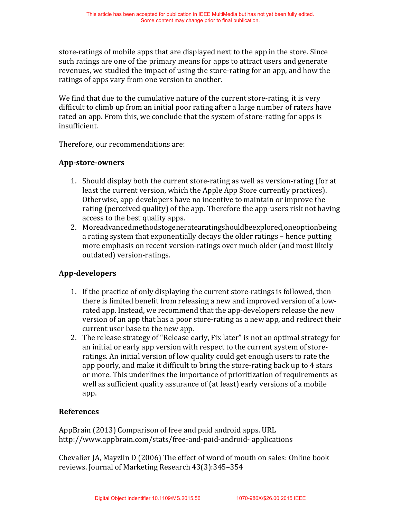store-ratings of mobile apps that are displayed next to the app in the store. Since such ratings are one of the primary means for apps to attract users and generate revenues, we studied the impact of using the store-rating for an app, and how the ratings of apps vary from one version to another.

We find that due to the cumulative nature of the current store-rating, it is very difficult to climb up from an initial poor rating after a large number of raters have rated an app. From this, we conclude that the system of store-rating for apps is insufficient.

Therefore, our recommendations are:

## **App-store-owners**

- 1. Should display both the current store-rating as well as version-rating (for at least the current version, which the Apple App Store currently practices). Otherwise, app-developers have no incentive to maintain or improve the rating (perceived quality) of the app. Therefore the app-users risk not having access to the best quality apps.
- 2. Moreadvancedmethodstogeneratearatingshouldbeexplored,oneoptionbeing a rating system that exponentially decays the older ratings – hence putting more emphasis on recent version-ratings over much older (and most likely outdated) version-ratings.

## **App-developers**

- 1. If the practice of only displaying the current store-ratings is followed, then there is limited benefit from releasing a new and improved version of a lowrated app. Instead, we recommend that the app-developers release the new version of an app that has a poor store-rating as a new app, and redirect their current user base to the new app.
- 2. The release strategy of "Release early, Fix later" is not an optimal strategy for an initial or early app version with respect to the current system of storeratings. An initial version of low quality could get enough users to rate the app poorly, and make it difficult to bring the store-rating back up to 4 stars or more. This underlines the importance of prioritization of requirements as well as sufficient quality assurance of (at least) early versions of a mobile app.

## **References**

AppBrain (2013) Comparison of free and paid android apps. URL http://www.appbrain.com/stats/free-and-paid-android- applications

Chevalier JA, Mayzlin D (2006) The effect of word of mouth on sales: Online book reviews. Journal of Marketing Research 43(3):345–354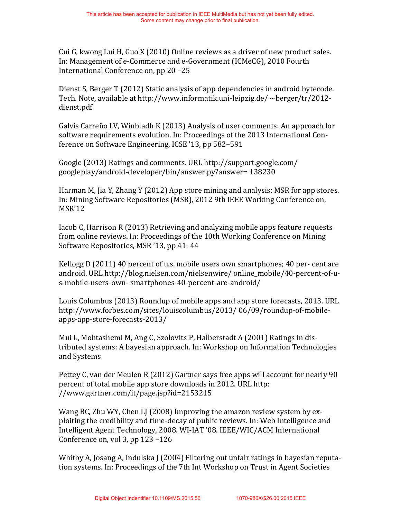Cui G, kwong Lui H, Guo X (2010) Online reviews as a driver of new product sales. In: Management of e-Commerce and e-Government (ICMeCG), 2010 Fourth International Conference on, pp 20 –25

Dienst S, Berger T (2012) Static analysis of app dependencies in android bytecode. Tech. Note, available at http://www.informatik.uni-leipzig.de/ ~berger/tr/2012 dienst.pdf

Galvis Carreño LV, Winbladh K (2013) Analysis of user comments: An approach for software requirements evolution. In: Proceedings of the 2013 International Conference on Software Engineering, ICSE '13, pp 582–591

Google (2013) Ratings and comments. URL http://support.google.com/ googleplay/android-developer/bin/answer.py?answer= 138230

Harman M, Jia Y, Zhang Y (2012) App store mining and analysis: MSR for app stores. In: Mining Software Repositories (MSR), 2012 9th IEEE Working Conference on, MSR'12

Iacob C, Harrison R (2013) Retrieving and analyzing mobile apps feature requests from online reviews. In: Proceedings of the 10th Working Conference on Mining Software Repositories, MSR '13, pp 41–44

Kellogg D (2011) 40 percent of u.s. mobile users own smartphones; 40 per- cent are android. URL http://blog.nielsen.com/nielsenwire/ online\_mobile/40-percent-of-us-mobile-users-own- smartphones-40-percent-are-android/

Louis Columbus (2013) Roundup of mobile apps and app store forecasts, 2013. URL http://www.forbes.com/sites/louiscolumbus/2013/ 06/09/roundup-of-mobileapps-app-store-forecasts-2013/

Mui L, Mohtashemi M, Ang C, Szolovits P, Halberstadt A (2001) Ratings in distributed systems: A bayesian approach. In: Workshop on Information Technologies and Systems

Pettey C, van der Meulen R (2012) Gartner says free apps will account for nearly 90 percent of total mobile app store downloads in 2012. URL http: //www.gartner.com/it/page.jsp?id=2153215

Wang BC, Zhu WY, Chen LJ (2008) Improving the amazon review system by exploiting the credibility and time-decay of public reviews. In: Web Intelligence and Intelligent Agent Technology, 2008. WI-IAT '08. IEEE/WIC/ACM International Conference on, vol 3, pp 123 –126

Whitby A, Josang A, Indulska J (2004) Filtering out unfair ratings in bayesian reputation systems. In: Proceedings of the 7th Int Workshop on Trust in Agent Societies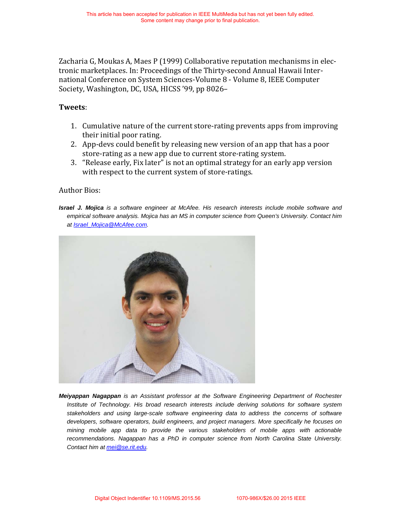Zacharia G, Moukas A, Maes P (1999) Collaborative reputation mechanisms in electronic marketplaces. In: Proceedings of the Thirty-second Annual Hawaii International Conference on System Sciences-Volume 8 - Volume 8, IEEE Computer Society, Washington, DC, USA, HICSS '99, pp 8026–

#### **Tweets**:

- 1. Cumulative nature of the current store-rating prevents apps from improving their initial poor rating.
- 2. App-devs could benefit by releasing new version of an app that has a poor store-rating as a new app due to current store-rating system.
- 3. "Release early, Fix later" is not an optimal strategy for an early app version with respect to the current system of store-ratings.

#### Author Bios:

*Israel J. Mojica is a software engineer at McAfee. His research interests include mobile software and empirical software analysis. Mojica has an MS in computer science from Queen's University. Contact him at [Israel\\_Mojica@McAfee.com.](mailto:Israel_Mojica@McAfee.com)* 



*Meiyappan Nagappan is an Assistant professor at the Software Engineering Department of Rochester Institute of Technology. His broad research interests include deriving solutions for software system stakeholders and using large-scale software engineering data to address the concerns of software developers, software operators, build engineers, and project managers. More specifically he focuses on mining mobile app data to provide the various stakeholders of mobile apps with actionable recommendations. Nagappan has a PhD in computer science from North Carolina State University. Contact him at [mei@se.rit.edu.](mailto:mei@cs.queensu.ca)*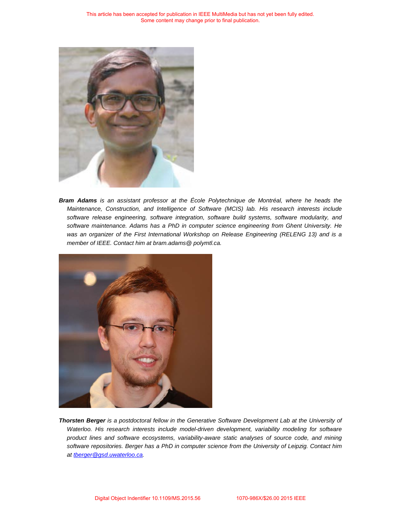

*Bram Adams is an assistant professor at the École Polytechnique de Montréal, where he heads the Maintenance, Construction, and Intelligence of Software (MCIS) lab. His research interests include software release engineering, software integration, software build systems, software modularity, and software maintenance. Adams has a PhD in computer science engineering from Ghent University. He was an organizer of the First International Workshop on Release Engineering (RELENG 13) and is a member of IEEE. Contact him at bram.adams@ polymtl.ca.*



*Thorsten Berger is a postdoctoral fellow in the Generative Software Development Lab at the University of Waterloo. His research interests include model-driven development, variability modeling for software product lines and software ecosystems, variability-aware static analyses of source code, and mining software repositories. Berger has a PhD in computer science from the University of Leipzig. Contact him at [tberger@gsd.uwaterloo.ca.](mailto:tberger@gsd.uwaterloo.ca)*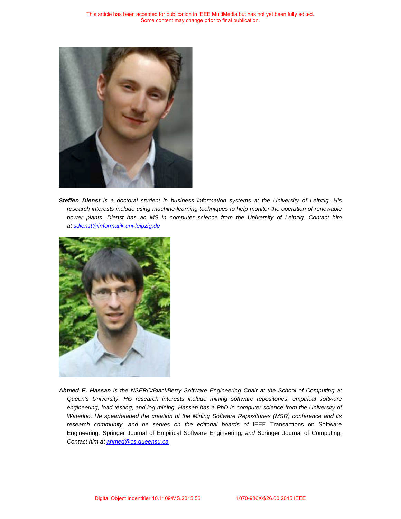

*Steffen Dienst is a doctoral student in business information systems at the University of Leipzig. His research interests include using machine-learning techniques to help monitor the operation of renewable power plants. Dienst has an MS in computer science from the University of Leipzig. Contact him at [sdienst@informatik.uni-leipzig.de](mailto:sdienst@informatik.uni-leipzig.de)*



*Ahmed E. Hassan is the NSERC/BlackBerry Software Engineering Chair at the School of Computing at Queen's University. His research interests include mining software repositories, empirical software engineering, load testing, and log mining. Hassan has a PhD in computer science from the University of Waterloo. He spearheaded the creation of the Mining Software Repositories (MSR) conference and its*  research community, and he serves on the editorial boards of IEEE Transactions on Software Engineering*,* Springer Journal of Empirical Software Engineering*, and* Springer Journal of Computing*. Contact him at [ahmed@cs.queensu.ca.](mailto:ahmed@cs.queensu.ca)*